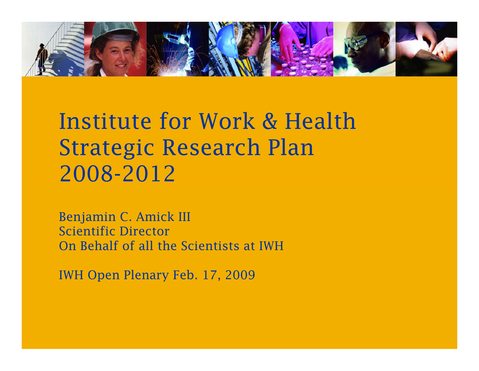

# Institute for Work & HealthStrategic Research Plan 2008-2012

Benjamin C. Amick III Scientific DirectorOn Behalf of all the Scientists at IWH

IWH Open Plenary Feb. 17, 2009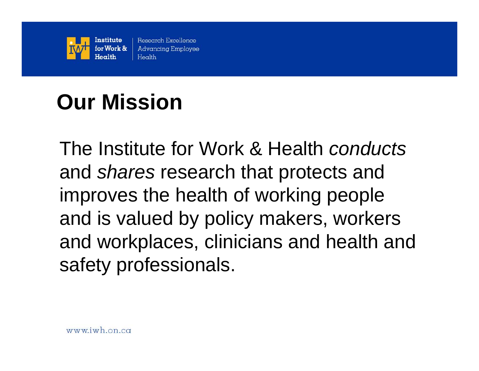

# **Our Mission**

The Institute for Work & Health *conducts*and *shares* research that protects and improves the health of working people and is valued by policy makers, workers and workplaces, clinicians and health and safety professionals.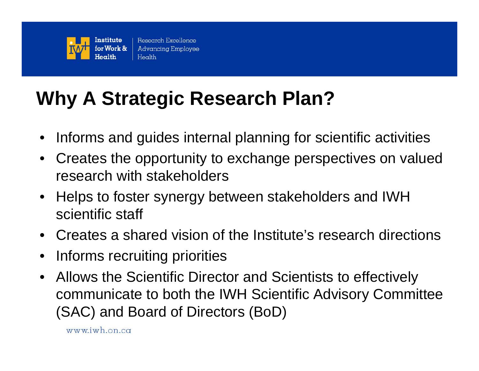

## **Why A Strategic Research Plan?**

- $\bullet$ Informs and guides internal planning for scientific activities
- $\bullet$  Creates the opportunity to exchange perspectives on valued research with stakeholders
- $\bullet$  Helps to foster synergy between stakeholders and IWH scientific staff
- Creates a shared vision of the Institute's research directions
- $\bullet$ Informs recruiting priorities
- $\bullet$  Allows the Scientific Director and Scientists to effectively communicate to both the IWH Scientific Advisory Committee (SAC) and Board of Directors (BoD)

www.iwh.on.ca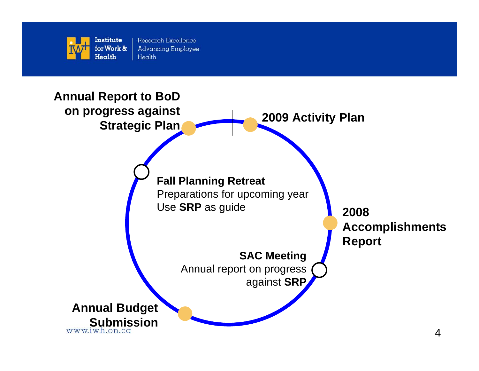

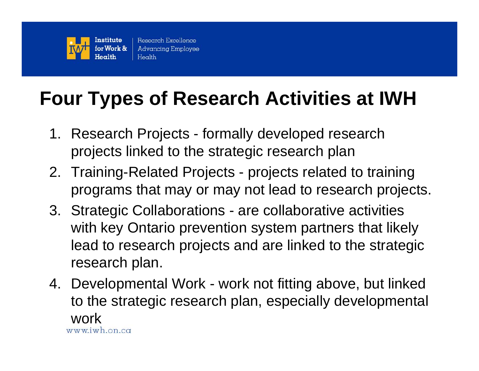

#### **Four Types of Research Activities at IWH**

- 1. Research Projects formally developed research projects linked to the strategic research plan
- 2. Training-Related Projects projects related to training programs that may or may not lead to research projects.
- 3. Strategic Collaborations are collaborative activities with key Ontario prevention system partners that likely lead to research projects and are linked to the strategic research plan.
- 4. Developmental Work work not fitting above, but linked to the strategic research plan, especially developmental workwww.iwh.on.ca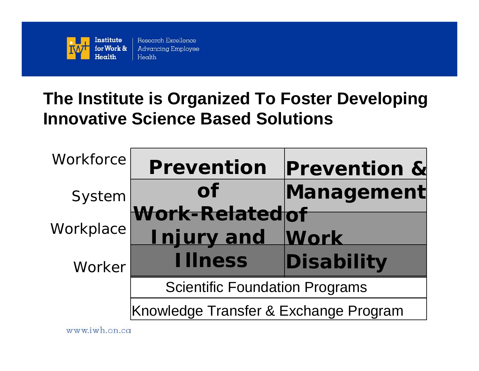

#### **The Institute is Organized To Foster Developing Innovative Science Based Solutions**

| Workforce | <b>Prevention</b>                     | <b>Prevention &amp;</b> |
|-----------|---------------------------------------|-------------------------|
| System    | <b>of</b>                             | Management              |
| Workplace | Work-Relatedof<br><b>Injury and</b>   | Work                    |
| Worker    | <b>Illness</b>                        | Disability              |
|           | <b>Scientific Foundation Programs</b> |                         |
|           | Knowledge Transfer & Exchange Program |                         |

www.iwh.on.ca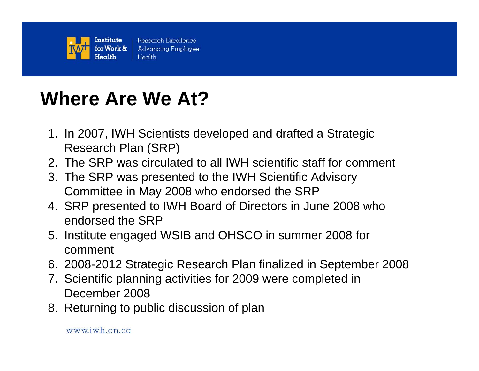

#### **Where Are We At?**

- 1. In 2007, IWH Scientists developed and drafted a Strategic Research Plan (SRP)
- 2. The SRP was circulated to all IWH scientific staff for comment
- 3. The SRP was presented to the IWH Scientific Advisory Committee in May 2008 who endorsed the SRP
- 4. SRP presented to IWH Board of Directors in June 2008 who endorsed the SRP
- 5. Institute engaged WSIB and OHSCO in summer 2008 for comment
- 6. 2008-2012 Strategic Research Plan finalized in September 2008
- 7. Scientific planning activities for 2009 were completed in December 2008
- 8. Returning to public discussion of plan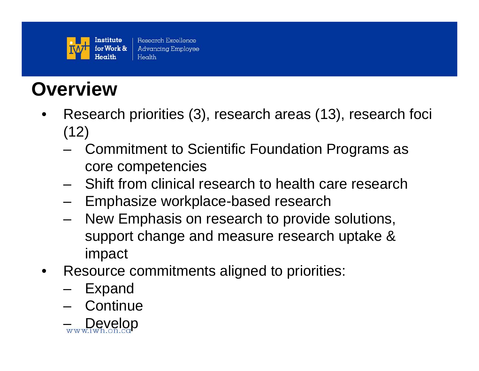

#### **Overview**

- • Research priorities (3), research areas (13), research foci  $(12)$ 
	- Commitment to Scientific Foundation Programs as core competencies
	- Shift from clinical research to health care research
	- Emphasize workplace-based research
	- – New Emphasis on research to provide solutions, support change and measure research uptake & impact
- • Resource commitments aligned to priorities:
	- Expand
	- Continue

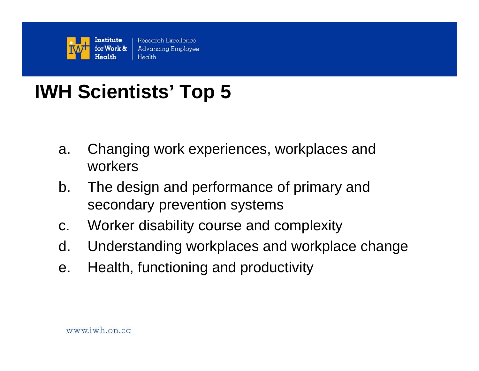

# **IWH Scientists' Top 5**

- a. Changing work experiences, workplaces and workers
- b. The design and performance of primary and secondary prevention systems
- c. Worker disability course and complexity
- d. Understanding workplaces and workplace change
- e. Health, functioning and productivity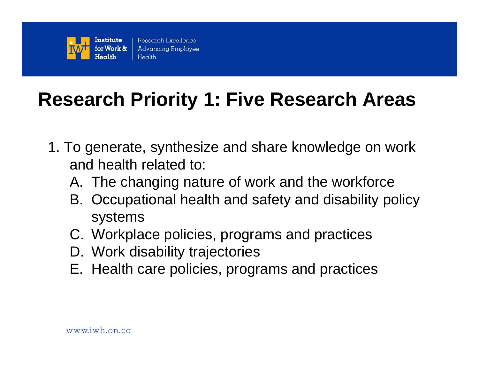

#### **Research Priority 1: Five Research Areas**

- 1. To generate, synthesize and share knowledge on work and health related to:
	- A. The changing nature of work and the workforce
	- B. Occupational health and safety and disability policy systems
	- C. Workplace policies, programs and practices
	- D. Work disability trajectories
	- E. Health care policies, programs and practices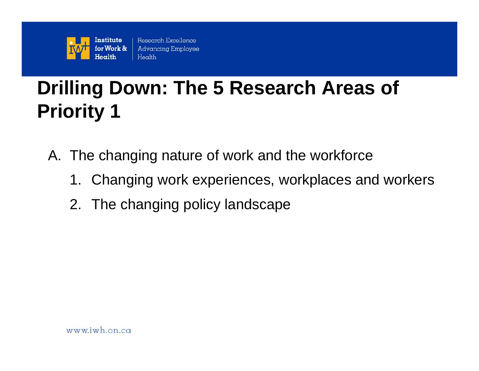

- A. The changing nature of work and the workforce
	- 1. Changing work experiences, workplaces and workers
	- 2. The changing policy landscape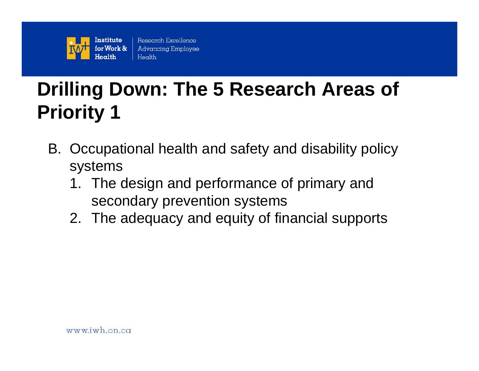

- B. Occupational health and safety and disability policy systems
	- 1. The design and performance of primary and secondary prevention systems
	- 2. The adequacy and equity of financial supports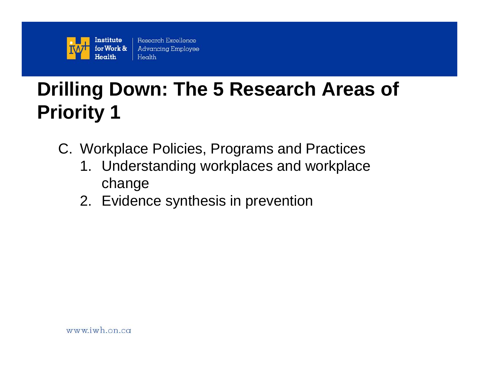

- C. Workplace Policies, Programs and Practices
	- 1. Understanding workplaces and workplace change
	- 2. Evidence synthesis in prevention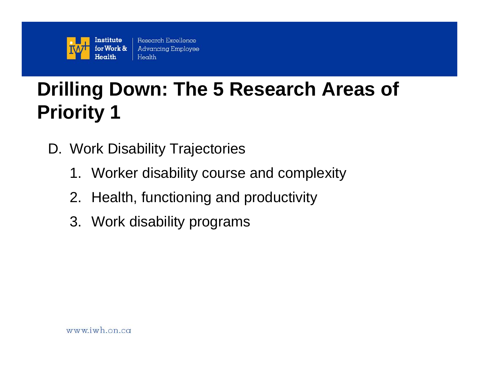

- D. Work Disability Trajectories
	- 1. Worker disability course and complexity
	- 2. Health, functioning and productivity
	- 3. Work disability programs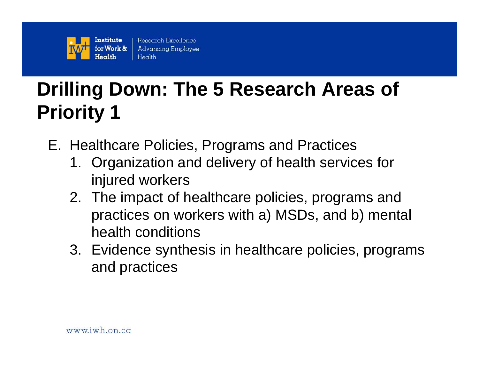

- E. Healthcare Policies, Programs and Practices
	- 1. Organization and delivery of health services for injured workers
	- 2. The impact of healthcare policies, programs and practices on workers with a) MSDs, and b) mental health conditions
	- 3. Evidence synthesis in healthcare policies, programs and practices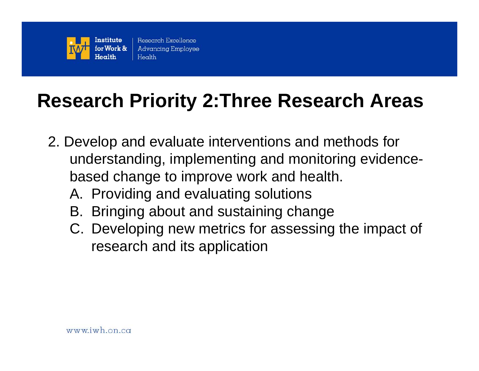

#### **Research Priority 2:Three Research Areas**

- 2. Develop and evaluate interventions and methods for understanding, implementing and monitoring evidencebased change to improve work and health.
	- A. Providing and evaluating solutions
	- B. Bringing about and sustaining change
	- C. Developing new metrics for assessing the impact of research and its application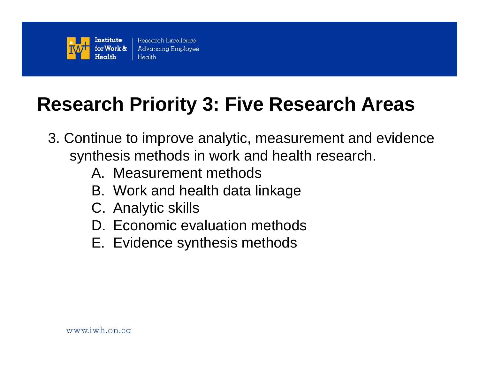

#### **Research Priority 3: Five Research Areas**

- 3. Continue to improve analytic, measurement and evidence synthesis methods in work and health research.
	- A. Measurement methods
	- B. Work and health data linkage
	- C. Analytic skills
	- D. Economic evaluation methods
	- E. Evidence synthesis methods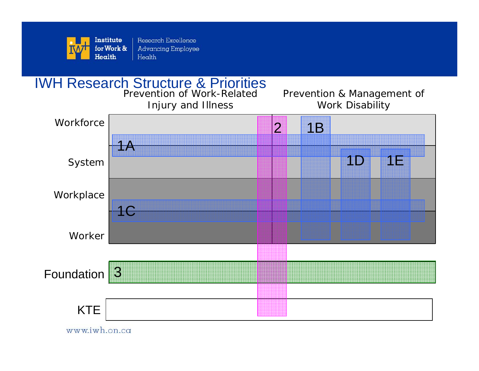

#### IWH Research Structure & Priorities

Prevention of Work-Related Injury and Illness

Prevention & Management of Work Disability



www.iwh.on.ca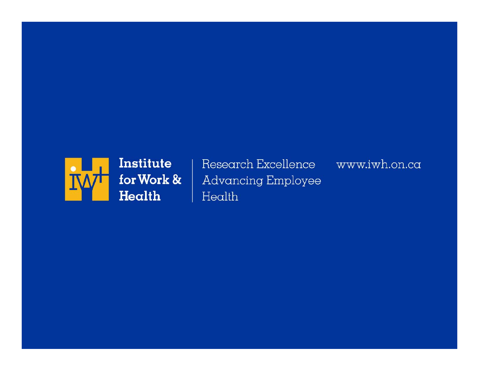

Research Excellence www.iwh.on.ca **Advancing Employee** Health